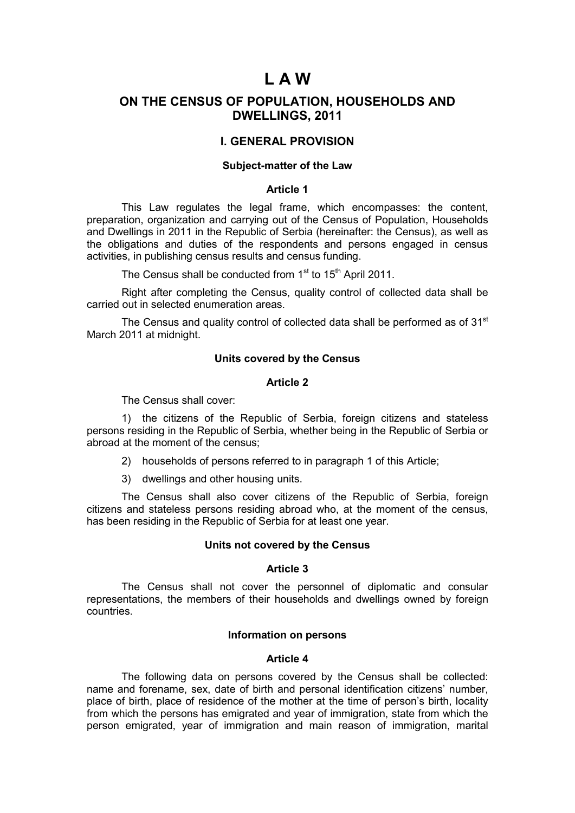# **L A W**

## **ОN THE CENSUS OF POPULATION, HOUSEHOLDS AND DWELLINGS, 2011**

## **I. GENERAL PROVISION**

## **Subject-matter of the Law**

## **Article 1**

This Law regulates the legal frame, which encompasses: the content, preparation, organization and carrying out of the Census of Population, Households and Dwellings in 2011 in the Republic of Serbia (hereinafter: the Census), as well as the obligations and duties of the respondents and persons engaged in census activities, in publishing census results and census funding.

The Census shall be conducted from  $1<sup>st</sup>$  to  $15<sup>th</sup>$  April 2011.

Right after completing the Census, quality control of collected data shall be carried out in selected enumeration areas.

The Census and quality control of collected data shall be performed as of  $31<sup>st</sup>$ March 2011 at midnight.

### **Units covered by the Census**

### **Article 2**

The Census shall cover:

1) the citizens of the Republic of Serbia, foreign citizens and stateless persons residing in the Republic of Serbia, whether being in the Republic of Serbia or abroad at the moment of the census;

- 2) households of persons referred to in paragraph 1 of this Article;
- 3) dwellings and other housing units.

The Census shall also cover citizens of the Republic of Serbia, foreign citizens and stateless persons residing abroad who, at the moment of the census, has been residing in the Republic of Serbia for at least one year.

#### **Units not covered by the Census**

## **Article 3**

The Census shall not cover the personnel of diplomatic and consular representations, the members of their households and dwellings owned by foreign countries.

### **Information on persons**

#### **Article 4**

The following data on persons covered by the Census shall be collected: name and forename, sex, date of birth and personal identification citizens' number, place of birth, place of residence of the mother at the time of person's birth, locality from which the persons has emigrated and year of immigration, state from which the person emigrated, year of immigration and main reason of immigration, marital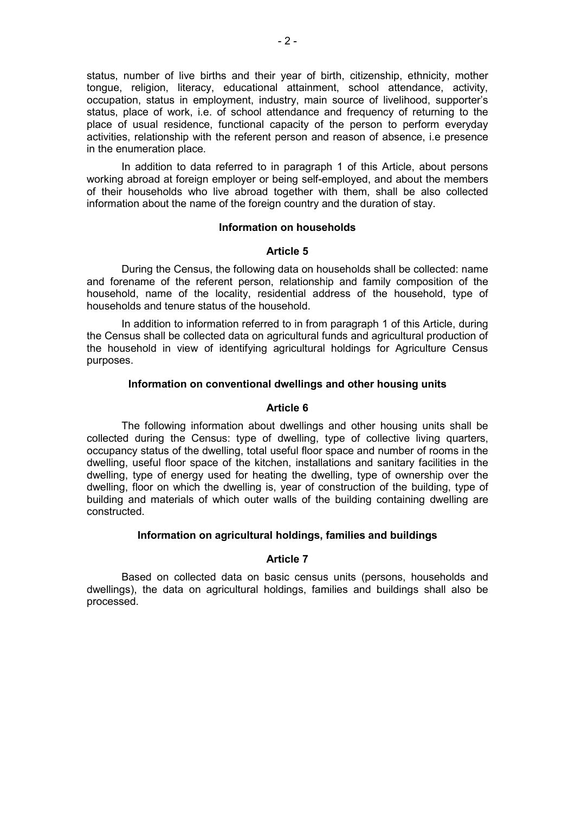status, number of live births and their year of birth, citizenship, ethnicity, mother tongue, religion, literacy, educational attainment, school attendance, activity, occupation, status in employment, industry, main source of livelihood, supporter's status, place of work, i.e. of school attendance and frequency of returning to the place of usual residence, functional capacity of the person to perform everyday activities, relationship with the referent person and reason of absence, i.e presence in the enumeration place.

In addition to data referred to in paragraph 1 of this Article, about persons working abroad at foreign employer or being self-employed, and about the members of their households who live abroad together with them, shall be also collected information about the name of the foreign country and the duration of stay.

#### **Information on households**

#### **Article 5**

During the Census, the following data on households shall be collected: name and forename of the referent person, relationship and family composition of the household, name of the locality, residential address of the household, type of households and tenure status of the household.

In addition to information referred to in from paragraph 1 of this Article, during the Census shall be collected data on agricultural funds and agricultural production of the household in view of identifying agricultural holdings for Agriculture Census purposes.

## **Information on conventional dwellings and other housing units**

#### **Article 6**

The following information about dwellings and other housing units shall be collected during the Census: type of dwelling, type of collective living quarters, occupancy status of the dwelling, total useful floor space and number of rooms in the dwelling, useful floor space of the kitchen, installations and sanitary facilities in the dwelling, type of energy used for heating the dwelling, type of ownership over the dwelling, floor on which the dwelling is, year of construction of the building, type of building and materials of which outer walls of the building containing dwelling are constructed.

## **Information on agricultural holdings, families and buildings**

## **Article 7**

Based on collected data on basic census units (persons, households and dwellings), the data on agricultural holdings, families and buildings shall also be processed.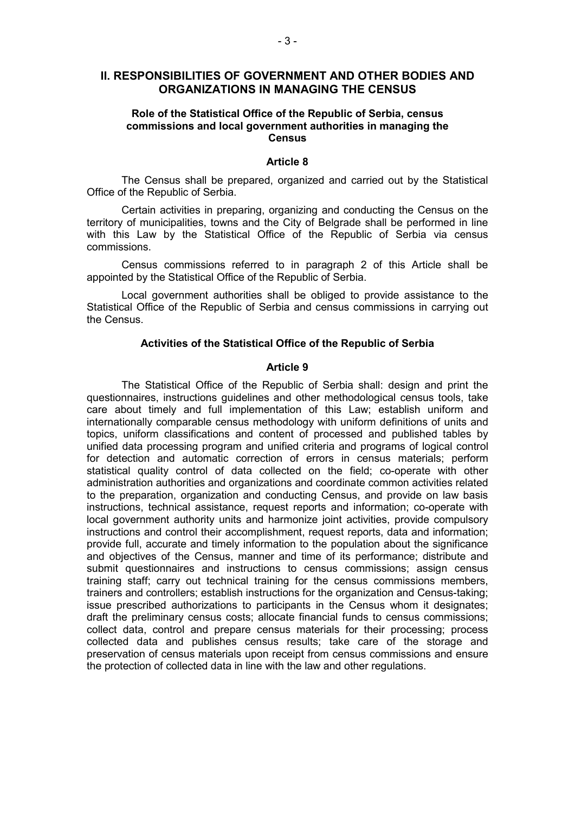## **II. RESPONSIBILITIES OF GOVERNMENT AND OTHER BODIES AND ORGANIZATIONS IN MANAGING THE CENSUS**

## **Role of the Statistical Office of the Republic of Serbia, census commissions and local government authorities in managing the Census**

#### **Article 8**

The Census shall be prepared, organized and carried out by the Statistical Office of the Republic of Serbia.

Certain activities in preparing, organizing and conducting the Census on the territory of municipalities, towns and the City of Belgrade shall be performed in line with this Law by the Statistical Office of the Republic of Serbia via census commissions.

Census commissions referred to in paragraph 2 of this Article shall be appointed by the Statistical Office of the Republic of Serbia.

Local government authorities shall be obliged to provide assistance to the Statistical Office of the Republic of Serbia and census commissions in carrying out the Census.

## **Activities of the Statistical Office of the Republic of Serbia**

## **Article 9**

The Statistical Office of the Republic of Serbia shall: design and print the questionnaires, instructions guidelines and other methodological census tools, take care about timely and full implementation of this Law; establish uniform and internationally comparable census methodology with uniform definitions of units and topics, uniform classifications and content of processed and published tables by unified data processing program and unified criteria and programs of logical control for detection and automatic correction of errors in census materials; perform statistical quality control of data collected on the field; co-operate with other administration authorities and organizations and coordinate common activities related to the preparation, organization and conducting Census, and provide on law basis instructions, technical assistance, request reports and information; co-operate with local government authority units and harmonize joint activities, provide compulsory instructions and control their accomplishment, request reports, data and information; provide full, accurate and timely information to the population about the significance and objectives of the Census, manner and time of its performance; distribute and submit questionnaires and instructions to census commissions; assign census training staff; carry out technical training for the census commissions members, trainers and controllers; establish instructions for the organization and Census-taking; issue prescribed authorizations to participants in the Census whom it designates; draft the preliminary census costs; allocate financial funds to census commissions; collect data, control and prepare census materials for their processing; process collected data and publishes census results; take care of the storage and preservation of census materials upon receipt from census commissions and ensure the protection of collected data in line with the law and other regulations.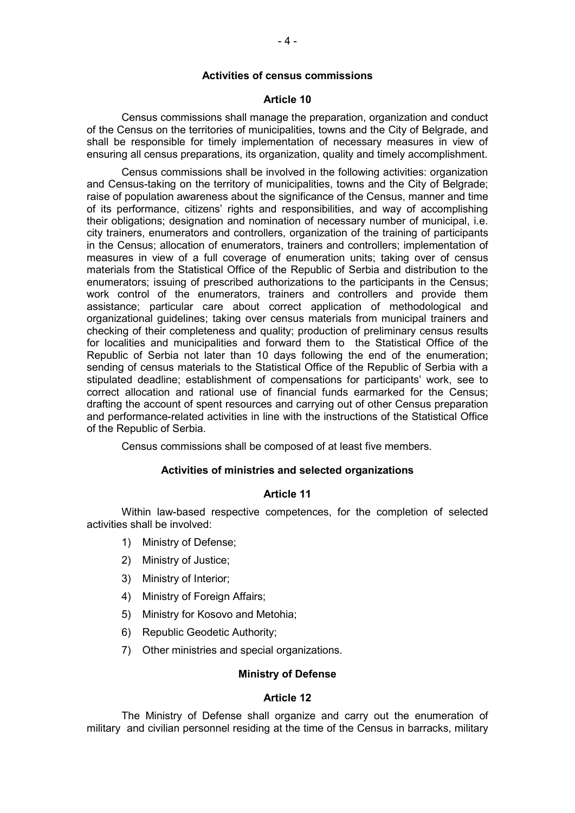### **Activities of census commissions**

#### **Article 10**

Census commissions shall manage the preparation, organization and conduct of the Census on the territories of municipalities, towns and the City of Belgrade, and shall be responsible for timely implementation of necessary measures in view of ensuring all census preparations, its organization, quality and timely accomplishment.

Census commissions shall be involved in the following activities: organization and Census-taking on the territory of municipalities, towns and the City of Belgrade; raise of population awareness about the significance of the Census, manner and time of its performance, citizens' rights and responsibilities, and way of accomplishing their obligations; designation and nomination of necessary number of municipal, i.e. city trainers, enumerators and controllers, organization of the training of participants in the Census; allocation of enumerators, trainers and controllers; implementation of measures in view of a full coverage of enumeration units; taking over of census materials from the Statistical Office of the Republic of Serbia and distribution to the enumerators; issuing of prescribed authorizations to the participants in the Census; work control of the enumerators, trainers and controllers and provide them assistance; particular care about correct application of methodological and organizational guidelines; taking over census materials from municipal trainers and checking of their completeness and quality; production of preliminary census results for localities and municipalities and forward them to the Statistical Office of the Republic of Serbia not later than 10 days following the end of the enumeration; sending of census materials to the Statistical Office of the Republic of Serbia with a stipulated deadline; establishment of compensations for participants' work, see to correct allocation and rational use of financial funds earmarked for the Census; drafting the account of spent resources and carrying out of other Census preparation and performance-related activities in line with the instructions of the Statistical Office of the Republic of Serbia.

Census commissions shall be composed of at least five members.

## **Activities of ministries and selected organizations**

#### **Article 11**

Within law-based respective competences, for the completion of selected activities shall be involved:

- 1) Ministry of Defense;
- 2) Ministry of Justice;
- 3) Ministry of Interior;
- 4) Ministry of Foreign Affairs;
- 5) Ministry for Kosovo and Metohia;
- 6) Republic Geodetic Authority;
- 7) Оther ministries and special organizations.

## **Ministry of Defense**

#### **Article 12**

The Ministry of Defense shall organize and carry out the enumeration of military and civilian personnel residing at the time of the Census in barracks, military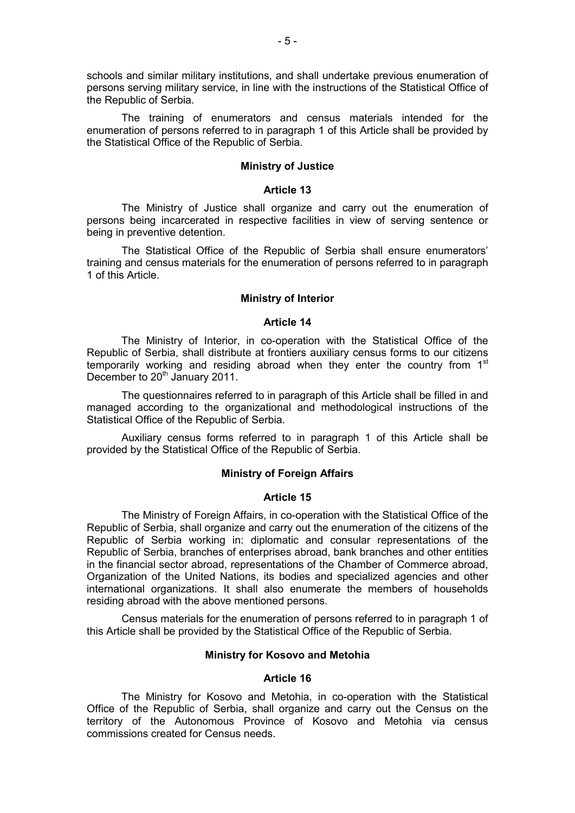schools and similar military institutions, and shall undertake previous enumeration of persons serving military service, in line with the instructions of the Statistical Office of the Republic of Serbia.

The training of enumerators and census materials intended for the enumeration of persons referred to in paragraph 1 of this Article shall be provided by the Statistical Office of the Republic of Serbia.

### **Ministry of Justice**

#### **Article 13**

The Ministry of Justice shall organize and carry out the enumeration of persons being incarcerated in respective facilities in view of serving sentence or being in preventive detention.

The Statistical Office of the Republic of Serbia shall ensure enumerators' training and census materials for the enumeration of persons referred to in paragraph 1 of this Article.

### **Ministry of Interior**

#### **Article 14**

The Ministry of Interior, in co-operation with the Statistical Office of the Republic of Serbia, shall distribute at frontiers auxiliary census forms to our citizens temporarily working and residing abroad when they enter the country from  $1<sup>st</sup>$ December to 20<sup>th</sup> January 2011.

The questionnaires referred to in paragraph of this Article shall be filled in and managed according to the organizational and methodological instructions of the Statistical Office of the Republic of Serbia.

Auxiliary census forms referred to in paragraph 1 of this Article shall be provided by the Statistical Office of the Republic of Serbia.

#### **Ministry of Foreign Affairs**

#### **Article 15**

The Ministry of Foreign Affairs, in co-operation with the Statistical Office of the Republic of Serbia, shall organize and carry out the enumeration of the citizens of the Republic of Serbia working in: diplomatic and consular representations of the Republic of Serbia, branches of enterprises abroad, bank branches and other entities in the financial sector abroad, representations of the Chamber of Commerce abroad, Organization of the United Nations, its bodies and specialized agencies and other international organizations. It shall also enumerate the members of households residing abroad with the above mentioned persons.

Census materials for the enumeration of persons referred to in paragraph 1 of this Article shall be provided by the Statistical Office of the Republic of Serbia.

### **Ministry for Kosovo and Metohia**

#### **Article 16**

The Ministry for Kosovo and Metohia, in co-operation with the Statistical Office of the Republic of Serbia, shall organize and carry out the Census on the territory of the Autonomous Province of Kosovo and Metohia via census commissions created for Census needs.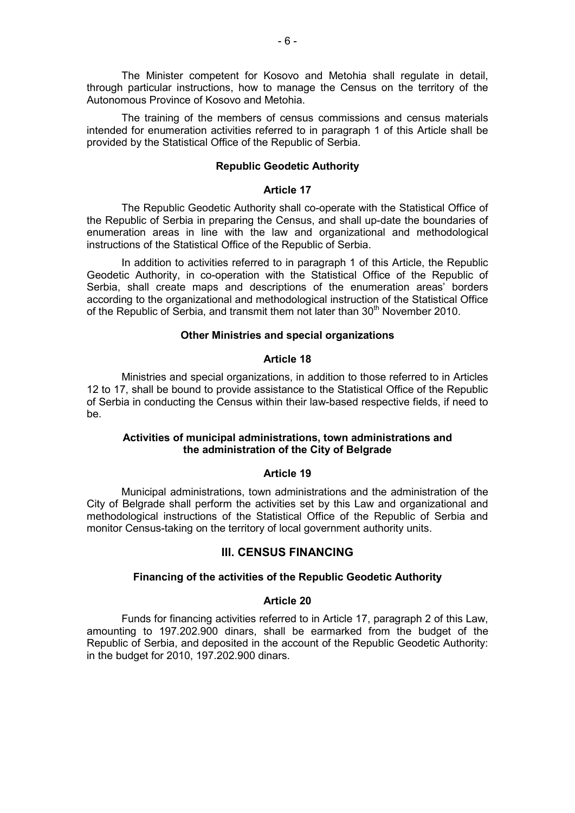The Minister competent for Kosovo and Metohia shall regulate in detail, through particular instructions, how to manage the Census on the territory of the Autonomous Province of Kosovo and Metohia.

The training of the members of census commissions and census materials intended for enumeration activities referred to in paragraph 1 of this Article shall be provided by the Statistical Office of the Republic of Serbia.

### **Republic Geodetic Authority**

#### **Article 17**

The Republic Geodetic Authority shall co-operate with the Statistical Office of the Republic of Serbia in preparing the Census, and shall up-date the boundaries of enumeration areas in line with the law and organizational and methodological instructions of the Statistical Office of the Republic of Serbia.

In addition to activities referred to in paragraph 1 of this Article, the Republic Geodetic Authority, in co-operation with the Statistical Office of the Republic of Serbia, shall create maps and descriptions of the enumeration areas' borders according to the organizational and methodological instruction of the Statistical Office of the Republic of Serbia, and transmit them not later than 30<sup>th</sup> November 2010.

### **Other Ministries and special organizations**

#### **Article 18**

Ministries and special organizations, in addition to those referred to in Articles 12 to 17, shall be bound to provide assistance to the Statistical Office of the Republic of Serbia in conducting the Census within their law-based respective fields, if need to be.

## **Activities of municipal administrations, town administrations and the administration of the City of Belgrade**

#### **Article 19**

Municipal administrations, town administrations and the administration of the City of Belgrade shall perform the activities set by this Law and organizational and methodological instructions of the Statistical Office of the Republic of Serbia and monitor Census-taking on the territory of local government authority units.

#### **III. CENSUS FINANCING**

### **Financing of the activities of the Republic Geodetic Authority**

#### **Article 20**

Funds for financing activities referred to in Article 17, paragraph 2 of this Law, amounting to 197.202.900 dinars, shall be earmarked from the budget of the Republic of Serbia, and deposited in the account of the Republic Geodetic Authority: in the budget for 2010, 197.202.900 dinars.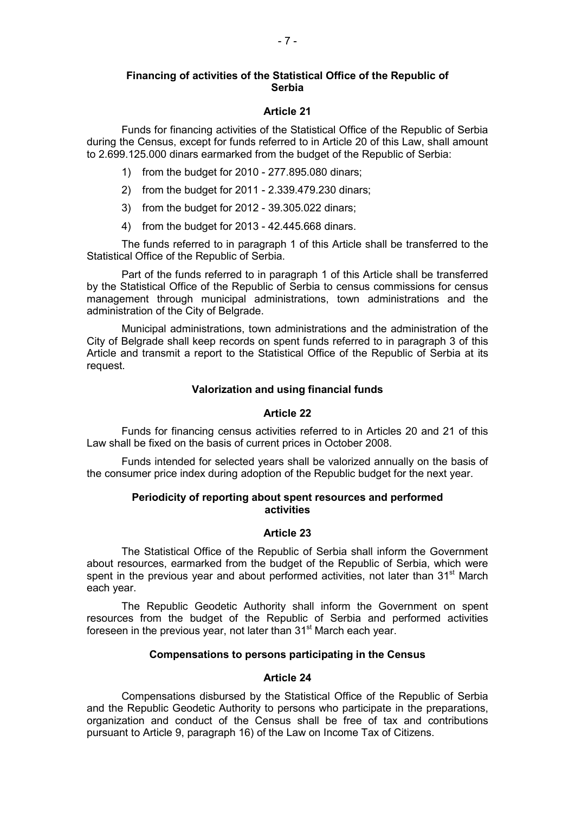## **Financing of activities of the Statistical Office of the Republic of Serbia**

## **Article 21**

Funds for financing activities of the Statistical Office of the Republic of Serbia during the Census, except for funds referred to in Article 20 of this Law, shall amount to 2.699.125.000 dinars earmarked from the budget of the Republic of Serbia:

- 1) from the budget for 2010 277.895.080 dinars;
- 2) from the budget for 2011 2.339.479.230 dinars;
- 3) from the budget for 2012 39.305.022 dinars;
- 4) from the budget for 2013 42.445.668 dinars.

The funds referred to in paragraph 1 of this Article shall be transferred to the Statistical Office of the Republic of Serbia.

Part of the funds referred to in paragraph 1 of this Article shall be transferred by the Statistical Office of the Republic of Serbia to census commissions for census management through municipal administrations, town administrations and the administration of the City of Belgrade.

Municipal administrations, town administrations and the administration of the City of Belgrade shall keep records on spent funds referred to in paragraph 3 of this Article and transmit a report to the Statistical Office of the Republic of Serbia at its request.

## **Valorization and using financial funds**

## **Article 22**

Funds for financing census activities referred to in Articles 20 and 21 of this Law shall be fixed on the basis of current prices in October 2008.

Funds intended for selected years shall be valorized annually on the basis of the consumer price index during adoption of the Republic budget for the next year.

## **Periodicity of reporting about spent resources and performed activities**

## **Article 23**

The Statistical Office of the Republic of Serbia shall inform the Government about resources, earmarked from the budget of the Republic of Serbia, which were spent in the previous year and about performed activities, not later than 31<sup>st</sup> March each year.

The Republic Geodetic Authority shall inform the Government on spent resources from the budget of the Republic of Serbia and performed activities foreseen in the previous year, not later than 31<sup>st</sup> March each year.

## **Compensations to persons participating in the Census**

## **Article 24**

Compensations disbursed by the Statistical Office of the Republic of Serbia and the Republic Geodetic Authority to persons who participate in the preparations, organization and conduct of the Census shall be free of tax and contributions pursuant to Article 9, paragraph 16) of the Law on Income Tax of Citizens.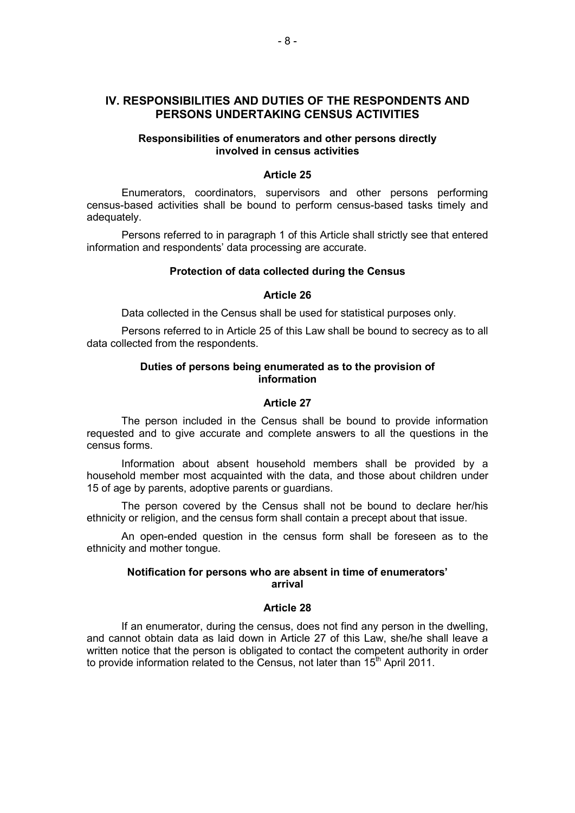## **IV. RESPONSIBILITIES AND DUTIES OF THE RESPONDENTS AND PERSONS UNDERTAKING CENSUS ACTIVITIES**

## **Responsibilities of enumerators and other persons directly involved in census activities**

## **Article 25**

Enumerators, coordinators, supervisors and other persons performing census-based activities shall be bound to perform census-based tasks timely and adequately.

Persons referred to in paragraph 1 of this Article shall strictly see that entered information and respondents' data processing are accurate.

#### **Protection of data collected during the Census**

#### **Article 26**

Data collected in the Census shall be used for statistical purposes only.

Persons referred to in Article 25 of this Law shall be bound to secrecy as to all data collected from the respondents.

## **Duties of persons being enumerated as to the provision of information**

#### **Article 27**

The person included in the Census shall be bound to provide information requested and to give accurate and complete answers to all the questions in the census forms.

Information about absent household members shall be provided by a household member most acquainted with the data, and those about children under 15 of age by parents, adoptive parents or guardians.

The person covered by the Census shall not be bound to declare her/his ethnicity or religion, and the census form shall contain a precept about that issue.

An open-ended question in the census form shall be foreseen as to the ethnicity and mother tongue.

## **Notification for persons who are absent in time of enumerators' arrival**

## **Article 28**

If an enumerator, during the census, does not find any person in the dwelling, and cannot obtain data as laid down in Article 27 of this Law, she/he shall leave a written notice that the person is obligated to contact the competent authority in order to provide information related to the Census, not later than 15<sup>th</sup> April 2011.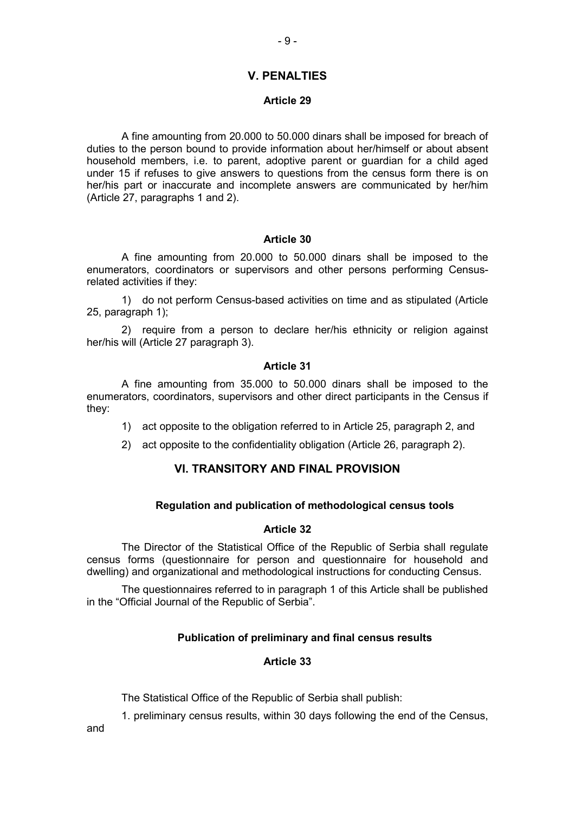## **V. PENALTIES**

### **Article 29**

A fine amounting from 20.000 tо 50.000 dinars shall be imposed for breach of duties to the person bound to provide information about her/himself or about absent household members, i.e. to parent, adoptive parent or guardian for a child aged under 15 if refuses to give answers to questions from the census form there is on her/his part or inaccurate and incomplete answers are communicated by her/him (Article 27, paragraphs 1 and 2).

## **Article 30**

A fine amounting from 20.000 tо 50.000 dinars shall be imposed to the enumerators, coordinators or supervisors and other persons performing Censusrelated activities if they:

1) do not perform Census-based activities on time and as stipulated (Article 25, paragraph 1);

2) require from a person to declare her/his ethnicity or religion against her/his will (Article 27 paragraph 3).

### **Article 31**

A fine amounting from 35.000 tо 50.000 dinars shall be imposed to the enumerators, coordinators, supervisors and other direct participants in the Census if they:

- 1) act opposite to the obligation referred to in Article 25, paragraph 2, and
- 2) act opposite to the confidentiality obligation (Article 26, paragraph 2).

## **VI. TRANSITORY AND FINAL PROVISION**

## **Regulation and publication of methodological census tools**

#### **Article 32**

The Director of the Statistical Office of the Republic of Serbia shall regulate census forms (questionnaire for person and questionnaire for household and dwelling) and organizational and methodological instructions for conducting Census.

The questionnaires referred to in paragraph 1 of this Article shall be published in the "Official Journal of the Republic of Serbia".

## **Publication of preliminary and final census results**

## **Article 33**

The Statistical Office of the Republic of Serbia shall publish:

1. preliminary census results, within 30 days following the end of the Census,

and